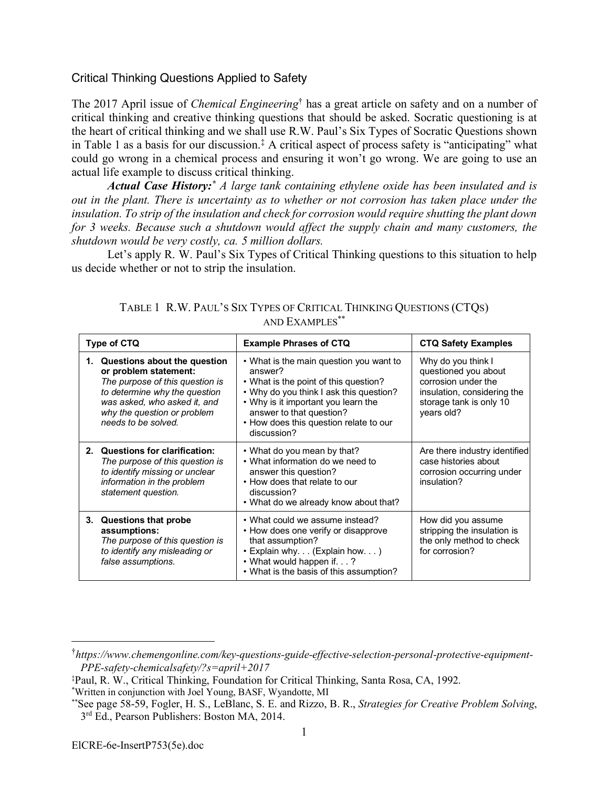## Critical Thinking Questions Applied to Safety

The 2017 April issue of *Chemical Engineering*† has a great article on safety and on a number of critical thinking and creative thinking questions that should be asked. Socratic questioning is at the heart of critical thinking and we shall use R.W. Paul's Six Types of Socratic Questions shown in Table 1 as a basis for our discussion.‡ A critical aspect of process safety is "anticipating" what could go wrong in a chemical process and ensuring it won't go wrong. We are going to use an actual life example to discuss critical thinking.

*Actual Case History:\* A large tank containing ethylene oxide has been insulated and is out in the plant. There is uncertainty as to whether or not corrosion has taken place under the insulation. To strip of the insulation and check for corrosion would require shutting the plant down for 3 weeks. Because such a shutdown would affect the supply chain and many customers, the shutdown would be very costly, ca. 5 million dollars.*

Let's apply R. W. Paul's Six Types of Critical Thinking questions to this situation to help us decide whether or not to strip the insulation.

| Type of CTQ |                                                                                                                                                                                                                    | <b>Example Phrases of CTQ</b>                                                                                                                                                                                                                                      | <b>CTQ Safety Examples</b>                                                                                                                |
|-------------|--------------------------------------------------------------------------------------------------------------------------------------------------------------------------------------------------------------------|--------------------------------------------------------------------------------------------------------------------------------------------------------------------------------------------------------------------------------------------------------------------|-------------------------------------------------------------------------------------------------------------------------------------------|
|             | 1. Questions about the question<br>or problem statement:<br>The purpose of this question is<br>to determine why the question<br>was asked, who asked it, and<br>why the question or problem<br>needs to be solved. | • What is the main question you want to<br>answer?<br>• What is the point of this question?<br>• Why do you think I ask this question?<br>• Why is it important you learn the<br>answer to that question?<br>• How does this question relate to our<br>discussion? | Why do you think I<br>questioned you about<br>corrosion under the<br>insulation, considering the<br>storage tank is only 10<br>years old? |
| 2.          | Questions for clarification:<br>The purpose of this question is<br>to identify missing or unclear<br>information in the problem<br>statement question.                                                             | • What do you mean by that?<br>• What information do we need to<br>answer this question?<br>• How does that relate to our<br>discussion?<br>• What do we already know about that?                                                                                  | Are there industry identified<br>case histories about<br>corrosion occurring under<br>insulation?                                         |
| 3.          | <b>Questions that probe</b><br>assumptions:<br>The purpose of this question is<br>to identify any misleading or<br>false assumptions.                                                                              | • What could we assume instead?<br>• How does one verify or disapprove<br>that assumption?<br>• Explain why. (Explain how. )<br>• What would happen if.?<br>• What is the basis of this assumption?                                                                | How did you assume<br>stripping the insulation is<br>the only method to check<br>for corrosion?                                           |

TABLE 1 R.W. PAUL'S SIX TYPES OF CRITICAL THINKING QUESTIONS (CTQS) AND EXAMPLES\*\*

 <sup>†</sup> *https://www.chemengonline.com/key-questions-guide-effective-selection-personal-protective-equipment-PPE-safety-chemicalsafety/?s=april+2017*

<sup>‡</sup> Paul, R. W., Critical Thinking, Foundation for Critical Thinking, Santa Rosa, CA, 1992.

<sup>\*</sup> Written in conjunction with Joel Young, BASF, Wyandotte, MI

<sup>\*\*</sup>See page 58-59, Fogler, H. S., LeBlanc, S. E. and Rizzo, B. R., *Strategies for Creative Problem Solving*, 3<sup>rd</sup> Ed., Pearson Publishers: Boston MA, 2014.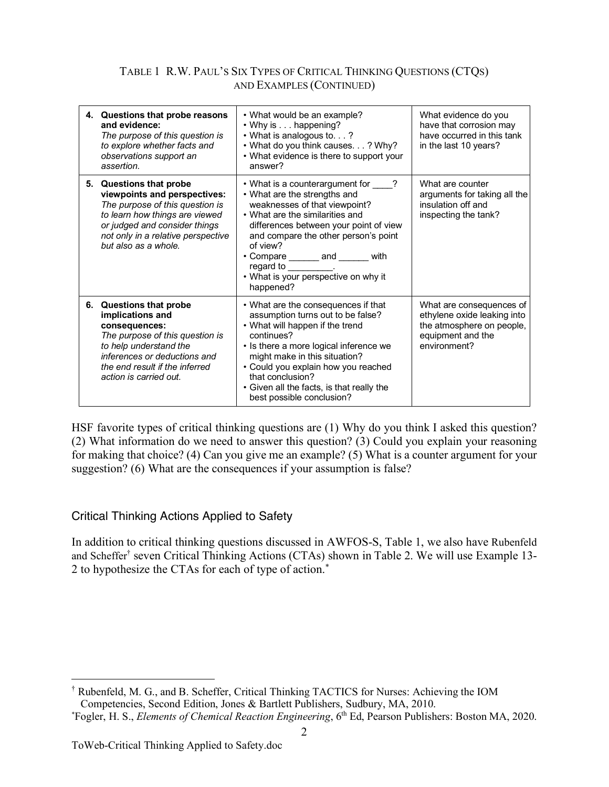## TABLE 1 R.W. PAUL'S SIX TYPES OF CRITICAL THINKING QUESTIONS (CTQS) AND EXAMPLES (CONTINUED)

| 4. Questions that probe reasons<br>and evidence:<br>The purpose of this question is<br>to explore whether facts and<br>observations support an<br>assertion.                                                                | • What would be an example?<br>• Why is happening?<br>• What is analogous to. ?<br>• What do you think causes. ? Why?<br>• What evidence is there to support your<br>answer?                                                                                                                                                                               | What evidence do you<br>have that corrosion may<br>have occurred in this tank<br>in the last 10 years?                    |
|-----------------------------------------------------------------------------------------------------------------------------------------------------------------------------------------------------------------------------|------------------------------------------------------------------------------------------------------------------------------------------------------------------------------------------------------------------------------------------------------------------------------------------------------------------------------------------------------------|---------------------------------------------------------------------------------------------------------------------------|
| 5. Questions that probe<br>viewpoints and perspectives:<br>The purpose of this question is<br>to learn how things are viewed<br>or judged and consider things<br>not only in a relative perspective<br>but also as a whole. | • What is a counterargument for ____?<br>• What are the strengths and<br>weaknesses of that viewpoint?<br>• What are the similarities and<br>differences between your point of view<br>and compare the other person's point<br>of view?<br>• Compare _______ and ______ with<br>regard to __________.<br>• What is your perspective on why it<br>happened? | What are counter<br>arguments for taking all the<br>insulation off and<br>inspecting the tank?                            |
| 6. Questions that probe<br>implications and<br>consequences:<br>The purpose of this question is<br>to help understand the<br>inferences or deductions and<br>the end result if the inferred<br>action is carried out.       | • What are the consequences if that<br>assumption turns out to be false?<br>• What will happen if the trend<br>continues?<br>• Is there a more logical inference we<br>might make in this situation?<br>• Could you explain how you reached<br>that conclusion?<br>• Given all the facts, is that really the<br>best possible conclusion?                  | What are consequences of<br>ethylene oxide leaking into<br>the atmosphere on people,<br>equipment and the<br>environment? |

HSF favorite types of critical thinking questions are (1) Why do you think I asked this question? (2) What information do we need to answer this question? (3) Could you explain your reasoning for making that choice? (4) Can you give me an example? (5) What is a counter argument for your suggestion? (6) What are the consequences if your assumption is false?

## Critical Thinking Actions Applied to Safety

In addition to critical thinking questions discussed in AWFOS-S, Table 1, we also have Rubenfeld and Scheffer† seven Critical Thinking Actions (CTAs) shown in Table 2. We will use Example 13- 2 to hypothesize the CTAs for each of type of action.\*

 <sup>†</sup> Rubenfeld, M. G., and B. Scheffer, Critical Thinking TACTICS for Nurses: Achieving the IOM Competencies, Second Edition, Jones & Bartlett Publishers, Sudbury, MA, 2010.

<sup>\*</sup> Fogler, H. S., *Elements of Chemical Reaction Engineering*, 6th Ed, Pearson Publishers: Boston MA, 2020.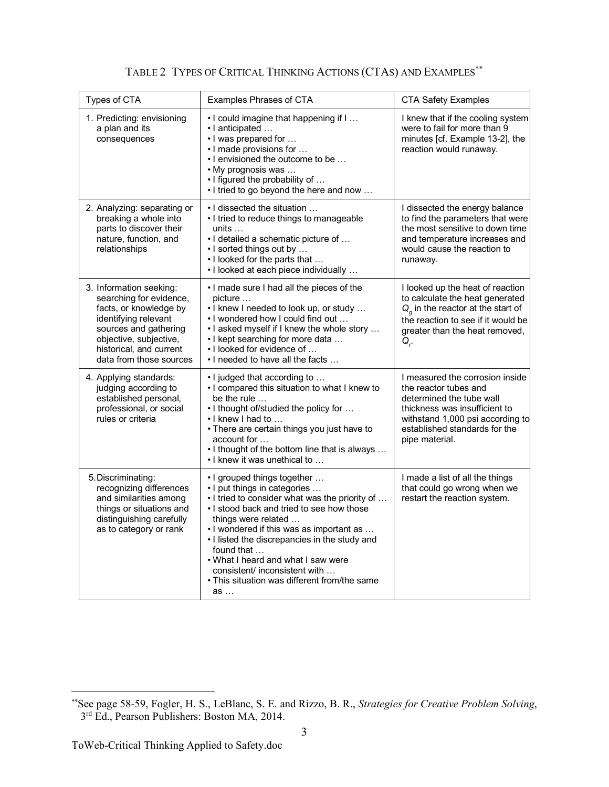| Types of CTA                                                                                                                                                                                                  | Examples Phrases of CTA                                                                                                                                                                                                                                                                                                                                                                                                   | <b>CTA Safety Examples</b>                                                                                                                                                                                   |
|---------------------------------------------------------------------------------------------------------------------------------------------------------------------------------------------------------------|---------------------------------------------------------------------------------------------------------------------------------------------------------------------------------------------------------------------------------------------------------------------------------------------------------------------------------------------------------------------------------------------------------------------------|--------------------------------------------------------------------------------------------------------------------------------------------------------------------------------------------------------------|
| 1. Predicting: envisioning<br>a plan and its<br>consequences                                                                                                                                                  | . I could imagine that happening if I<br>· I anticipated<br>• I was prepared for<br>. I made provisions for<br>• I envisioned the outcome to be<br>• My prognosis was<br>. I figured the probability of<br>. I tried to go beyond the here and now                                                                                                                                                                        | I knew that if the cooling system<br>were to fail for more than 9<br>minutes [cf. Example 13-2], the<br>reaction would runaway.                                                                              |
| 2. Analyzing: separating or<br>breaking a whole into<br>parts to discover their<br>nature, function, and<br>relationships                                                                                     | • I dissected the situation<br>• I tried to reduce things to manageable<br>units $\dots$<br>· I detailed a schematic picture of<br>• I sorted things out by<br>. I looked for the parts that<br>• I looked at each piece individually                                                                                                                                                                                     | I dissected the energy balance<br>to find the parameters that were<br>the most sensitive to down time<br>and temperature increases and<br>would cause the reaction to<br>runaway.                            |
| 3. Information seeking:<br>searching for evidence,<br>facts, or knowledge by<br>identifying relevant<br>sources and gathering<br>objective, subjective,<br>historical, and current<br>data from those sources | . I made sure I had all the pieces of the<br>picture<br>. I knew I needed to look up, or study<br>. I wondered how I could find out<br>. I asked myself if I knew the whole story<br>• I kept searching for more data<br>. I looked for evidence of<br>. I needed to have all the facts                                                                                                                                   | I looked up the heat of reaction<br>to calculate the heat generated<br>$Q_q$ in the reactor at the start of<br>the reaction to see if it would be<br>greater than the heat removed,<br>$Q_{r}$               |
| 4. Applying standards:<br>judging according to<br>established personal,<br>professional, or social<br>rules or criteria                                                                                       | . I judged that according to<br>. I compared this situation to what I knew to<br>be the rule<br>.1 thought of/studied the policy for<br>• I knew I had to<br>• There are certain things you just have to<br>account for<br>. I thought of the bottom line that is always<br>. I knew it was unethical to                                                                                                                  | I measured the corrosion inside<br>the reactor tubes and<br>determined the tube wall<br>thickness was insufficient to<br>withstand 1,000 psi according to<br>established standards for the<br>pipe material. |
| 5. Discriminating:<br>recognizing differences<br>and similarities among<br>things or situations and<br>distinguishing carefully<br>as to category or rank                                                     | • I grouped things together<br>. I put things in categories<br>. I tried to consider what was the priority of<br>. I stood back and tried to see how those<br>things were related<br>• I wondered if this was as important as<br>• I listed the discrepancies in the study and<br>found that<br>. What I heard and what I saw were<br>consistent/ inconsistent with<br>. This situation was different from/the same<br>as | I made a list of all the things<br>that could go wrong when we<br>restart the reaction system.                                                                                                               |

TABLE 2 TYPES OF CRITICAL THINKING ACTIONS (CTAS) AND EXAMPLES\*\*

 <sup>\*\*</sup>See page 58-59, Fogler, H. S., LeBlanc, S. E. and Rizzo, B. R., *Strategies for Creative Problem Solving*, 3<sup>rd</sup> Ed., Pearson Publishers: Boston MA, 2014.